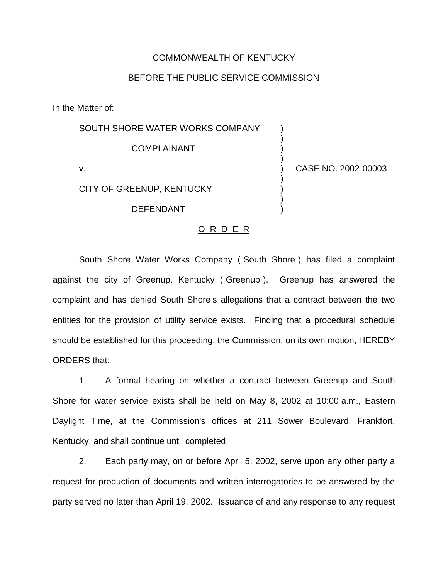## COMMONWEALTH OF KENTUCKY

## BEFORE THE PUBLIC SERVICE COMMISSION

In the Matter of:

| SOUTH SHORE WATER WORKS COMPANY |                     |
|---------------------------------|---------------------|
| <b>COMPLAINANT</b>              |                     |
| v.                              | CASE NO. 2002-00003 |
| CITY OF GREENUP, KENTUCKY       |                     |
| <b>DEFENDANT</b>                |                     |

## O R D E R

South Shore Water Works Company ( South Shore ) has filed a complaint against the city of Greenup, Kentucky ( Greenup ). Greenup has answered the complaint and has denied South Shore s allegations that a contract between the two entities for the provision of utility service exists. Finding that a procedural schedule should be established for this proceeding, the Commission, on its own motion, HEREBY ORDERS that:

1. A formal hearing on whether a contract between Greenup and South Shore for water service exists shall be held on May 8, 2002 at 10:00 a.m., Eastern Daylight Time, at the Commission's offices at 211 Sower Boulevard, Frankfort, Kentucky, and shall continue until completed.

2. Each party may, on or before April 5, 2002, serve upon any other party a request for production of documents and written interrogatories to be answered by the party served no later than April 19, 2002. Issuance of and any response to any request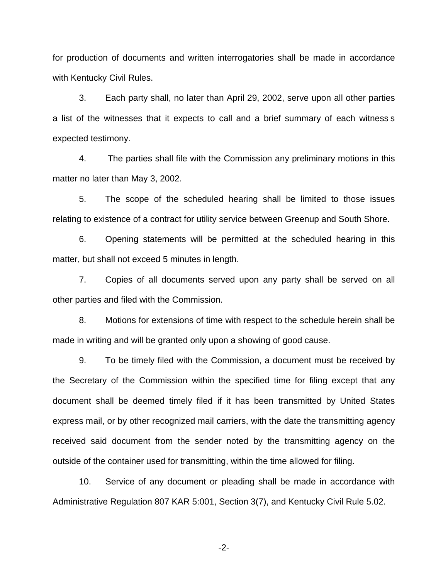for production of documents and written interrogatories shall be made in accordance with Kentucky Civil Rules.

3. Each party shall, no later than April 29, 2002, serve upon all other parties a list of the witnesses that it expects to call and a brief summary of each witness s expected testimony.

4. The parties shall file with the Commission any preliminary motions in this matter no later than May 3, 2002.

5. The scope of the scheduled hearing shall be limited to those issues relating to existence of a contract for utility service between Greenup and South Shore.

6. Opening statements will be permitted at the scheduled hearing in this matter, but shall not exceed 5 minutes in length.

7. Copies of all documents served upon any party shall be served on all other parties and filed with the Commission.

8. Motions for extensions of time with respect to the schedule herein shall be made in writing and will be granted only upon a showing of good cause.

9. To be timely filed with the Commission, a document must be received by the Secretary of the Commission within the specified time for filing except that any document shall be deemed timely filed if it has been transmitted by United States express mail, or by other recognized mail carriers, with the date the transmitting agency received said document from the sender noted by the transmitting agency on the outside of the container used for transmitting, within the time allowed for filing.

10. Service of any document or pleading shall be made in accordance with Administrative Regulation 807 KAR 5:001, Section 3(7), and Kentucky Civil Rule 5.02.

-2-